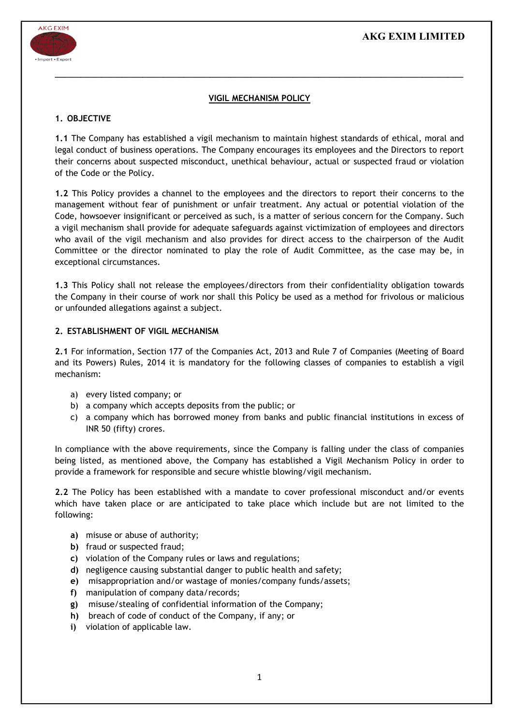# AKG EXIM LIMITED



## VIGIL MECHANISM POLICY

 $\mathcal{L}_\mathcal{L} = \mathcal{L}_\mathcal{L} = \mathcal{L}_\mathcal{L} = \mathcal{L}_\mathcal{L} = \mathcal{L}_\mathcal{L} = \mathcal{L}_\mathcal{L} = \mathcal{L}_\mathcal{L} = \mathcal{L}_\mathcal{L} = \mathcal{L}_\mathcal{L} = \mathcal{L}_\mathcal{L} = \mathcal{L}_\mathcal{L} = \mathcal{L}_\mathcal{L} = \mathcal{L}_\mathcal{L} = \mathcal{L}_\mathcal{L} = \mathcal{L}_\mathcal{L} = \mathcal{L}_\mathcal{L} = \mathcal{L}_\mathcal{L}$ 

### 1. OBJECTIVE

1.1 The Company has established a vigil mechanism to maintain highest standards of ethical, moral and legal conduct of business operations. The Company encourages its employees and the Directors to report their concerns about suspected misconduct, unethical behaviour, actual or suspected fraud or violation of the Code or the Policy.

1.2 This Policy provides a channel to the employees and the directors to report their concerns to the management without fear of punishment or unfair treatment. Any actual or potential violation of the Code, howsoever insignificant or perceived as such, is a matter of serious concern for the Company. Such a vigil mechanism shall provide for adequate safeguards against victimization of employees and directors who avail of the vigil mechanism and also provides for direct access to the chairperson of the Audit Committee or the director nominated to play the role of Audit Committee, as the case may be, in exceptional circumstances.

1.3 This Policy shall not release the employees/directors from their confidentiality obligation towards the Company in their course of work nor shall this Policy be used as a method for frivolous or malicious or unfounded allegations against a subject.

### 2. ESTABLISHMENT OF VIGIL MECHANISM

2.1 For information, Section 177 of the Companies Act, 2013 and Rule 7 of Companies (Meeting of Board and its Powers) Rules, 2014 it is mandatory for the following classes of companies to establish a vigil mechanism:

- a) every listed company; or
- b) a company which accepts deposits from the public; or
- c) a company which has borrowed money from banks and public financial institutions in excess of INR 50 (fifty) crores.

In compliance with the above requirements, since the Company is falling under the class of companies being listed, as mentioned above, the Company has established a Vigil Mechanism Policy in order to provide a framework for responsible and secure whistle blowing/vigil mechanism.

2.2 The Policy has been established with a mandate to cover professional misconduct and/or events which have taken place or are anticipated to take place which include but are not limited to the following:

- a) misuse or abuse of authority;
- b) fraud or suspected fraud;
- c) violation of the Company rules or laws and regulations;
- d) negligence causing substantial danger to public health and safety;
- e) misappropriation and/or wastage of monies/company funds/assets;
- f) manipulation of company data/records;
- g) misuse/stealing of confidential information of the Company;
- h) breach of code of conduct of the Company, if any; or
- i) violation of applicable law.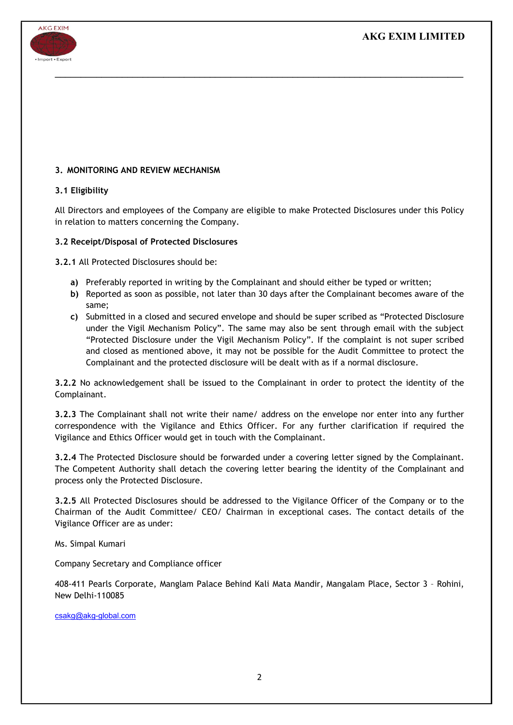

## 3. MONITORING AND REVIEW MECHANISM

### 3.1 Eligibility

All Directors and employees of the Company are eligible to make Protected Disclosures under this Policy in relation to matters concerning the Company.

 $\mathcal{L}_\mathcal{L} = \mathcal{L}_\mathcal{L} = \mathcal{L}_\mathcal{L} = \mathcal{L}_\mathcal{L} = \mathcal{L}_\mathcal{L} = \mathcal{L}_\mathcal{L} = \mathcal{L}_\mathcal{L} = \mathcal{L}_\mathcal{L} = \mathcal{L}_\mathcal{L} = \mathcal{L}_\mathcal{L} = \mathcal{L}_\mathcal{L} = \mathcal{L}_\mathcal{L} = \mathcal{L}_\mathcal{L} = \mathcal{L}_\mathcal{L} = \mathcal{L}_\mathcal{L} = \mathcal{L}_\mathcal{L} = \mathcal{L}_\mathcal{L}$ 

### 3.2 Receipt/Disposal of Protected Disclosures

3.2.1 All Protected Disclosures should be:

- a) Preferably reported in writing by the Complainant and should either be typed or written;
- b) Reported as soon as possible, not later than 30 days after the Complainant becomes aware of the same;
- c) Submitted in a closed and secured envelope and should be super scribed as "Protected Disclosure under the Vigil Mechanism Policy". The same may also be sent through email with the subject "Protected Disclosure under the Vigil Mechanism Policy". If the complaint is not super scribed and closed as mentioned above, it may not be possible for the Audit Committee to protect the Complainant and the protected disclosure will be dealt with as if a normal disclosure.

3.2.2 No acknowledgement shall be issued to the Complainant in order to protect the identity of the Complainant.

3.2.3 The Complainant shall not write their name/ address on the envelope nor enter into any further correspondence with the Vigilance and Ethics Officer. For any further clarification if required the Vigilance and Ethics Officer would get in touch with the Complainant.

3.2.4 The Protected Disclosure should be forwarded under a covering letter signed by the Complainant. The Competent Authority shall detach the covering letter bearing the identity of the Complainant and process only the Protected Disclosure.

3.2.5 All Protected Disclosures should be addressed to the Vigilance Officer of the Company or to the Chairman of the Audit Committee/ CEO/ Chairman in exceptional cases. The contact details of the Vigilance Officer are as under:

Ms. Simpal Kumari

Company Secretary and Compliance officer

408-411 Pearls Corporate, Manglam Palace Behind Kali Mata Mandir, Mangalam Place, Sector 3 – Rohini, New Delhi-110085

csakg@akg-global.com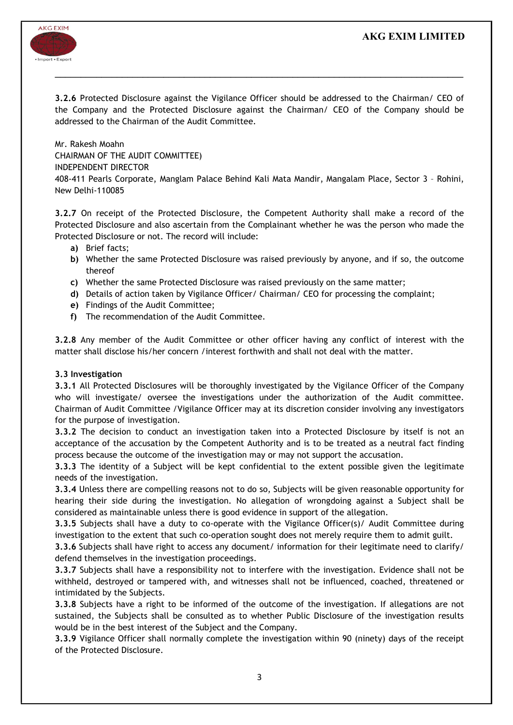# AKG EXIM LIMITED



3.2.6 Protected Disclosure against the Vigilance Officer should be addressed to the Chairman/ CEO of the Company and the Protected Disclosure against the Chairman/ CEO of the Company should be addressed to the Chairman of the Audit Committee.

 $\mathcal{L}_\mathcal{L} = \mathcal{L}_\mathcal{L} = \mathcal{L}_\mathcal{L} = \mathcal{L}_\mathcal{L} = \mathcal{L}_\mathcal{L} = \mathcal{L}_\mathcal{L} = \mathcal{L}_\mathcal{L} = \mathcal{L}_\mathcal{L} = \mathcal{L}_\mathcal{L} = \mathcal{L}_\mathcal{L} = \mathcal{L}_\mathcal{L} = \mathcal{L}_\mathcal{L} = \mathcal{L}_\mathcal{L} = \mathcal{L}_\mathcal{L} = \mathcal{L}_\mathcal{L} = \mathcal{L}_\mathcal{L} = \mathcal{L}_\mathcal{L}$ 

Mr. Rakesh Moahn CHAIRMAN OF THE AUDIT COMMITTEE) INDEPENDENT DIRECTOR 408-411 Pearls Corporate, Manglam Palace Behind Kali Mata Mandir, Mangalam Place, Sector 3 – Rohini, New Delhi-110085

3.2.7 On receipt of the Protected Disclosure, the Competent Authority shall make a record of the Protected Disclosure and also ascertain from the Complainant whether he was the person who made the Protected Disclosure or not. The record will include:

- a) Brief facts;
- b) Whether the same Protected Disclosure was raised previously by anyone, and if so, the outcome thereof
- c) Whether the same Protected Disclosure was raised previously on the same matter;
- d) Details of action taken by Vigilance Officer/ Chairman/ CEO for processing the complaint;
- e) Findings of the Audit Committee;
- f) The recommendation of the Audit Committee.

3.2.8 Any member of the Audit Committee or other officer having any conflict of interest with the matter shall disclose his/her concern /interest forthwith and shall not deal with the matter.

### 3.3 Investigation

3.3.1 All Protected Disclosures will be thoroughly investigated by the Vigilance Officer of the Company who will investigate/ oversee the investigations under the authorization of the Audit committee. Chairman of Audit Committee /Vigilance Officer may at its discretion consider involving any investigators for the purpose of investigation.

3.3.2 The decision to conduct an investigation taken into a Protected Disclosure by itself is not an acceptance of the accusation by the Competent Authority and is to be treated as a neutral fact finding process because the outcome of the investigation may or may not support the accusation.

3.3.3 The identity of a Subject will be kept confidential to the extent possible given the legitimate needs of the investigation.

3.3.4 Unless there are compelling reasons not to do so, Subjects will be given reasonable opportunity for hearing their side during the investigation. No allegation of wrongdoing against a Subject shall be considered as maintainable unless there is good evidence in support of the allegation.

3.3.5 Subjects shall have a duty to co-operate with the Vigilance Officer(s)/ Audit Committee during investigation to the extent that such co-operation sought does not merely require them to admit guilt.

3.3.6 Subjects shall have right to access any document/ information for their legitimate need to clarify/ defend themselves in the investigation proceedings.

3.3.7 Subjects shall have a responsibility not to interfere with the investigation. Evidence shall not be withheld, destroyed or tampered with, and witnesses shall not be influenced, coached, threatened or intimidated by the Subjects.

3.3.8 Subjects have a right to be informed of the outcome of the investigation. If allegations are not sustained, the Subjects shall be consulted as to whether Public Disclosure of the investigation results would be in the best interest of the Subject and the Company.

3.3.9 Vigilance Officer shall normally complete the investigation within 90 (ninety) days of the receipt of the Protected Disclosure.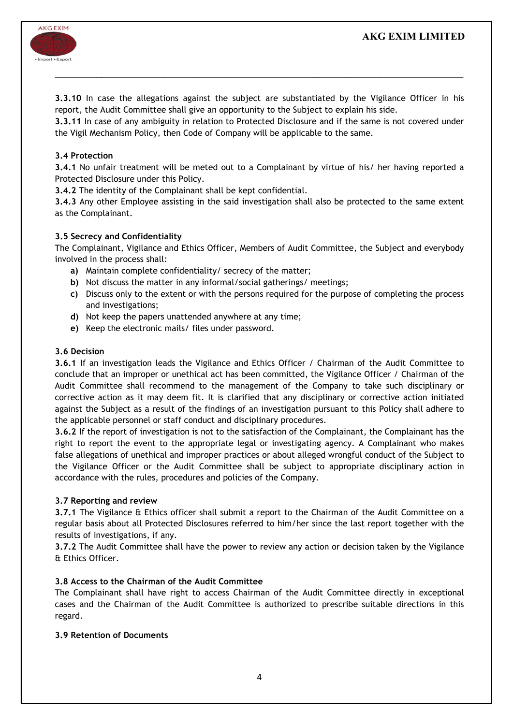# AKG EXIM LIMITED



3.3.10 In case the allegations against the subject are substantiated by the Vigilance Officer in his report, the Audit Committee shall give an opportunity to the Subject to explain his side.

 $\mathcal{L}_\mathcal{L} = \mathcal{L}_\mathcal{L} = \mathcal{L}_\mathcal{L} = \mathcal{L}_\mathcal{L} = \mathcal{L}_\mathcal{L} = \mathcal{L}_\mathcal{L} = \mathcal{L}_\mathcal{L} = \mathcal{L}_\mathcal{L} = \mathcal{L}_\mathcal{L} = \mathcal{L}_\mathcal{L} = \mathcal{L}_\mathcal{L} = \mathcal{L}_\mathcal{L} = \mathcal{L}_\mathcal{L} = \mathcal{L}_\mathcal{L} = \mathcal{L}_\mathcal{L} = \mathcal{L}_\mathcal{L} = \mathcal{L}_\mathcal{L}$ 

3.3.11 In case of any ambiguity in relation to Protected Disclosure and if the same is not covered under the Vigil Mechanism Policy, then Code of Company will be applicable to the same.

### 3.4 Protection

3.4.1 No unfair treatment will be meted out to a Complainant by virtue of his/ her having reported a Protected Disclosure under this Policy.

3.4.2 The identity of the Complainant shall be kept confidential.

3.4.3 Any other Employee assisting in the said investigation shall also be protected to the same extent as the Complainant.

### 3.5 Secrecy and Confidentiality

The Complainant, Vigilance and Ethics Officer, Members of Audit Committee, the Subject and everybody involved in the process shall:

- a) Maintain complete confidentiality/ secrecy of the matter;
- b) Not discuss the matter in any informal/social gatherings/ meetings;
- c) Discuss only to the extent or with the persons required for the purpose of completing the process and investigations;
- d) Not keep the papers unattended anywhere at any time;
- e) Keep the electronic mails/ files under password.

### 3.6 Decision

3.6.1 If an investigation leads the Vigilance and Ethics Officer / Chairman of the Audit Committee to conclude that an improper or unethical act has been committed, the Vigilance Officer / Chairman of the Audit Committee shall recommend to the management of the Company to take such disciplinary or corrective action as it may deem fit. It is clarified that any disciplinary or corrective action initiated against the Subject as a result of the findings of an investigation pursuant to this Policy shall adhere to the applicable personnel or staff conduct and disciplinary procedures.

3.6.2 If the report of investigation is not to the satisfaction of the Complainant, the Complainant has the right to report the event to the appropriate legal or investigating agency. A Complainant who makes false allegations of unethical and improper practices or about alleged wrongful conduct of the Subject to the Vigilance Officer or the Audit Committee shall be subject to appropriate disciplinary action in accordance with the rules, procedures and policies of the Company.

### 3.7 Reporting and review

3.7.1 The Vigilance & Ethics officer shall submit a report to the Chairman of the Audit Committee on a regular basis about all Protected Disclosures referred to him/her since the last report together with the results of investigations, if any.

3.7.2 The Audit Committee shall have the power to review any action or decision taken by the Vigilance & Ethics Officer.

### 3.8 Access to the Chairman of the Audit Committee

The Complainant shall have right to access Chairman of the Audit Committee directly in exceptional cases and the Chairman of the Audit Committee is authorized to prescribe suitable directions in this regard.

### 3.9 Retention of Documents